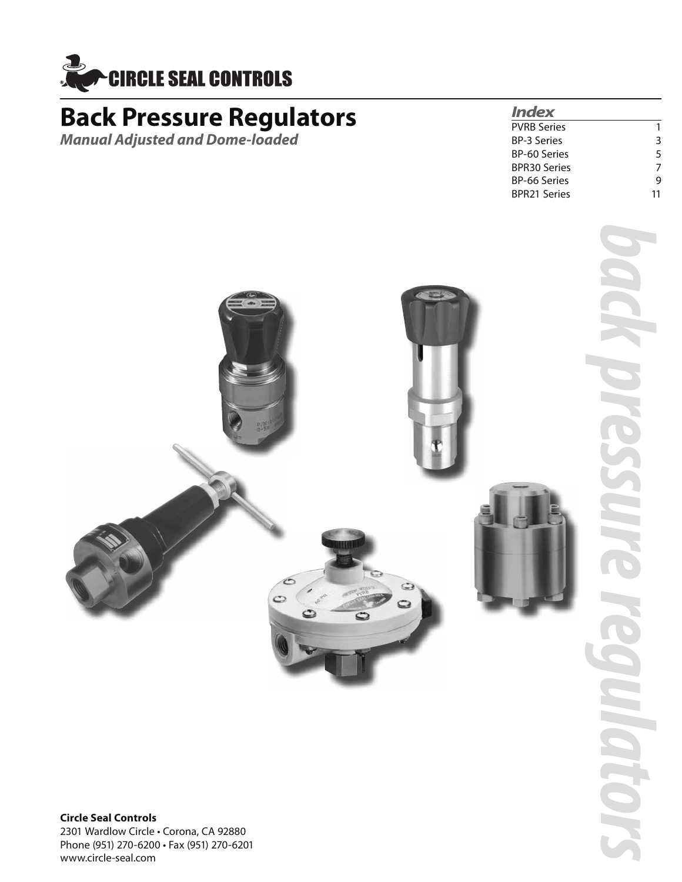

### **Back Pressure Regulators**

*Manual Adjusted and Dome-loaded*

### *Index*

| PVRB Series  |    |
|--------------|----|
| BP-3 Series  | 3  |
| BP-60 Series | 5  |
| BPR30 Series | 7  |
| BP-66 Series | q  |
| BPR21 Series | 11 |



**Circle Seal Controls** 2301 Wardlow Circle • Corona, CA 92880 Phone (951) 270-6200 • Fax (951) 270-6201 www.circle-seal.com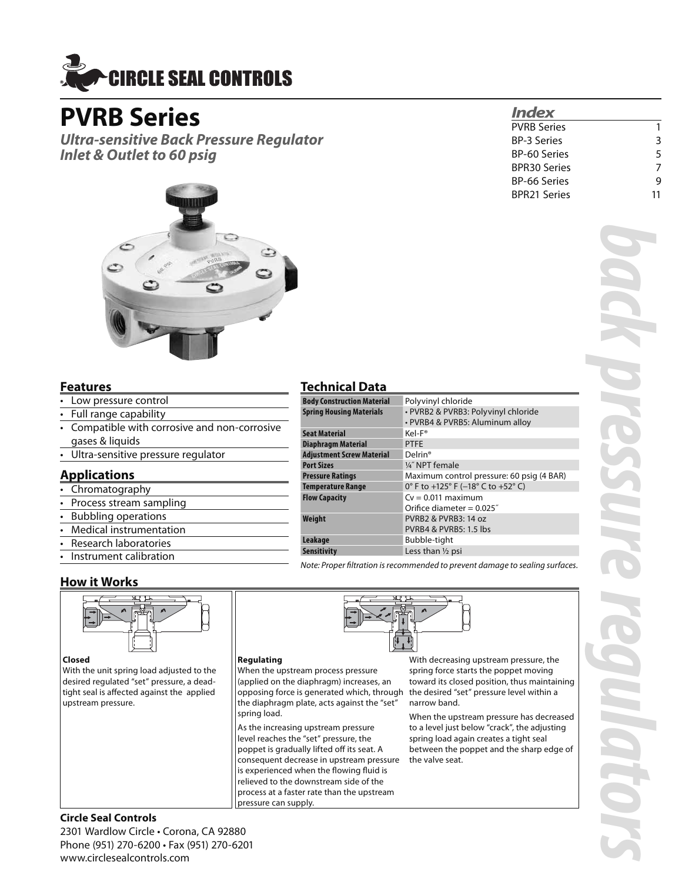

### **PVRB Series**

*Ultra-sensitive Back Pressure Regulator Inlet & Outlet to 60 psig*



### **Features**

- Low pressure control
- Full range capability
- Compatible with corrosive and non-corrosive gases & liquids
- Ultra-sensitive pressure regulator

### **Applications**

- Chromatography
- Process stream sampling
- Bubbling operations
- Medical instrumentation
- Research laboratories
- Instrument calibration

### **How it Works**



### **Closed**

With the unit spring load adjusted to the desired regulated "set" pressure, a deadtight seal is affected against the applied upstream pressure.

### **Technical Data**

| <b>Body Construction Material</b> | Polyvinyl chloride                        |  |
|-----------------------------------|-------------------------------------------|--|
| <b>Spring Housing Materials</b>   | · PVRB2 & PVRB3: Polyvinyl chloride       |  |
|                                   | • PVRB4 & PVRB5: Aluminum alloy           |  |
| <b>Seat Material</b>              | Kel-F®                                    |  |
| <b>Diaphragm Material</b>         | <b>PTFE</b>                               |  |
| <b>Adjustment Screw Material</b>  | Delrin <sup>®</sup>                       |  |
| <b>Port Sizes</b>                 | 1/4" NPT female                           |  |
| <b>Pressure Ratings</b>           | Maximum control pressure: 60 psig (4 BAR) |  |
| <b>Temperature Range</b>          | 0° F to +125° F (-18° C to +52° C)        |  |
| <b>Flow Capacity</b>              | $Cv = 0.011$ maximum                      |  |
|                                   | Orifice diameter = $0.025$ "              |  |
| Weight                            | PVRB2 & PVRB3: 14 oz                      |  |
|                                   | <b>PVRB4 &amp; PVRB5: 1.5 lbs</b>         |  |
| Leakage                           | Bubble-tight                              |  |
| <b>Sensitivity</b>                | Less than 1/2 psi                         |  |

Note: Proper filtration is recommended to prevent damage to sealing surfaces.



When the upstream process pressure (applied on the diaphragm) increases, an opposing force is generated which, through the diaphragm plate, acts against the "set" spring load.

As the increasing upstream pressure level reaches the "set" pressure, the poppet is gradually lifted off its seat. A consequent decrease in upstream pressure is experienced when the flowing fluid is relieved to the downstream side of the process at a faster rate than the upstream pressure can supply.

With decreasing upstream pressure, the spring force starts the poppet moving toward its closed position, thus maintaining the desired "set" pressure level within a narrow band.

*Index*

PVRB Series 1 BP-3 Series 3 BP-60 Series 5 BPR30 Series 7 BP-66 Series 9 BPR21 Series 11

When the upstream pressure has decreased to a level just below "crack", the adjusting spring load again creates a tight seal between the poppet and the sharp edge of the valve seat.

## *back pressure regulators*

### **Circle Seal Controls**

2301 Wardlow Circle • Corona, CA 92880 Phone (951) 270-6200 • Fax (951) 270-6201 www.circlesealcontrols.com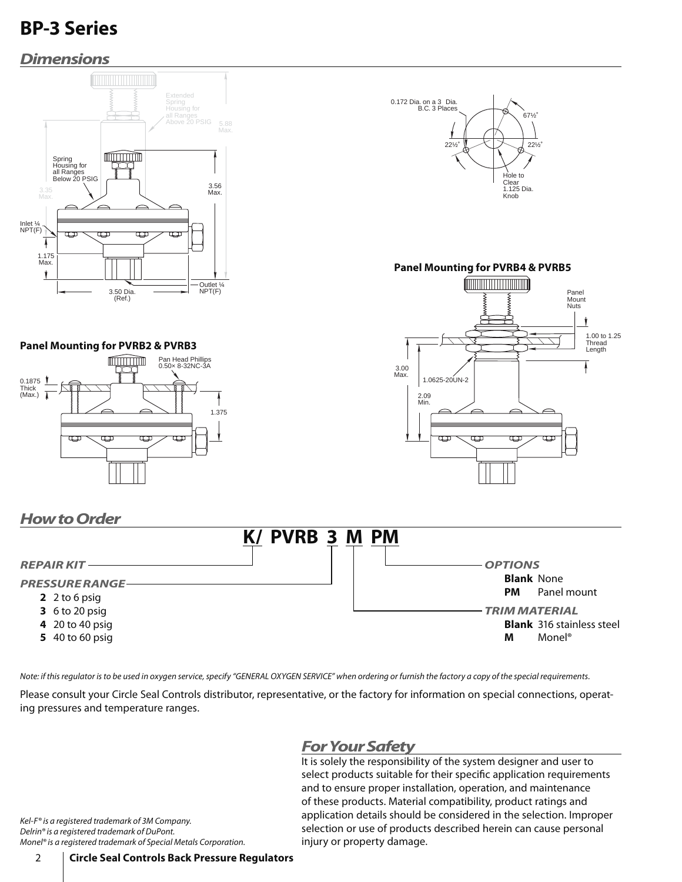### *Dimensions*



Note: if this regulator is to be used in oxygen service, specify "GENERAL OXYGEN SERVICE" when ordering or furnish the factory a copy of the special requirements.

Please consult your Circle Seal Controls distributor, representative, or the factory for information on special connections, operating pressures and temperature ranges.

### *For Your Safety*

It is solely the responsibility of the system designer and user to select products suitable for their specific application requirements and to ensure proper installation, operation, and maintenance of these products. Material compatibility, product ratings and application details should be considered in the selection. Improper selection or use of products described herein can cause personal injury or property damage.

Kel-F® is a registered trademark of 3M Company. Delrin® is a registered trademark of DuPont. Monel® is a registered trademark of Special Metals Corporation.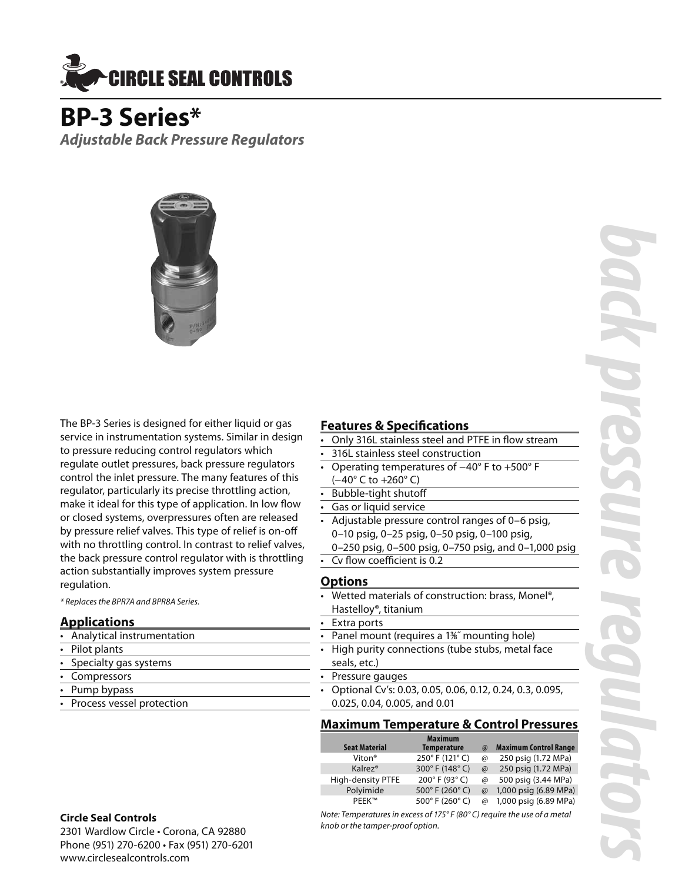

**BP-3 Series\*** *Adjustable Back Pressure Regulators*



The BP-3 Series is designed for either liquid or gas service in instrumentation systems. Similar in design to pressure reducing control regulators which regulate outlet pressures, back pressure regulators control the inlet pressure. The many features of this regulator, particularly its precise throttling action, make it ideal for this type of application. In low flow or closed systems, overpressures often are released by pressure relief valves. This type of relief is on-off with no throttling control. In contrast to relief valves, the back pressure control regulator with is throttling action substantially improves system pressure regulation.

\* Replaces the BPR7A and BPR8A Series.

### **Applications**

• Analytical instrumentation

- Pilot plants
- Specialty gas systems
- Compressors
- Pump bypass
- Process vessel protection

### **Circle Seal Controls**

2301 Wardlow Circle • Corona, CA 92880 Phone (951) 270-6200 • Fax (951) 270-6201 www.circlesealcontrols.com

### **Features & Specifications**<br>Conly 316L stainless steel and **E**

- Only 316L stainless steel and PTFE in flow stream
- 316L stainless steel construction
- Operating temperatures of −40° F to +500° F (−40° C to +260° C)
- Bubble-tight shutoff
- Gas or liquid service
- Adjustable pressure control ranges of 0–6 psig, 0–10 psig, 0–25 psig, 0–50 psig, 0–100 psig,
	- 0–250 psig, 0–500 psig, 0–750 psig, and 0–1,000 psig
- Cv flow coefficient is 0.2

### **Options**

- Wetted materials of construction: brass, Monel®, Hastelloy®, titanium
- Extra ports
- Panel mount (requires a 1<sup>36</sup>″ mounting hole)
- High purity connections (tube stubs, metal face seals, etc.)
- Pressure gauges
- Optional Cv's: 0.03, 0.05, 0.06, 0.12, 0.24, 0.3, 0.095, 0.025, 0.04, 0.005, and 0.01

### **Maximum Temperature & Control Pressures**

| <b>Seat Material</b> | <b>Maximum</b><br><b>Temperature</b> | $\omega$    | <b>Maximum Control Range</b> |
|----------------------|--------------------------------------|-------------|------------------------------|
| Viton <sup>®</sup>   | 250°F (121°C)                        | @           | 250 psig (1.72 MPa)          |
| Kalrez <sup>®</sup>  | 300°F (148°C)                        | $\omega$    | 250 psig (1.72 MPa)          |
| High-density PTFE    | 200° F (93° C)                       | $\circledR$ | 500 psig (3.44 MPa)          |
| Polyimide            | 500° F (260° C)                      | $\omega$    | 1,000 psig (6.89 MPa)        |
| PFFK™                | 500° F (260° C)                      | $\omega$    | 1,000 psig (6.89 MPa)        |
|                      |                                      |             |                              |

Note: Temperatures in excess of 175° F (80° C) require the use of a metal knob or the tamper-proof option.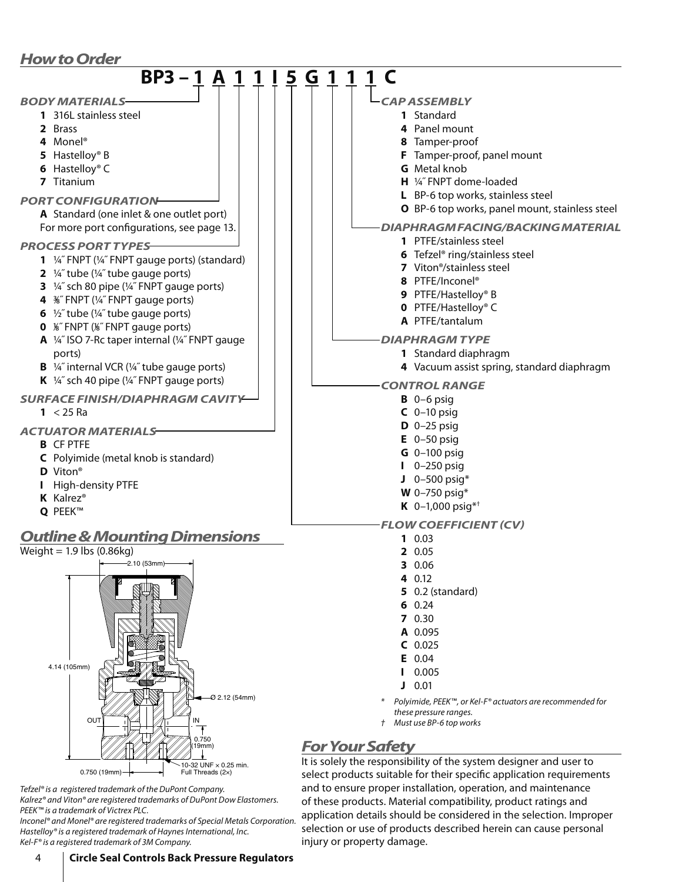### *How to Order*

| <b>BP3-1</b><br>A<br>5                                                                                                                                                                                                                                                                            | 1<br>G                                                                                                                                                                                                                                                                                                                                              |
|---------------------------------------------------------------------------------------------------------------------------------------------------------------------------------------------------------------------------------------------------------------------------------------------------|-----------------------------------------------------------------------------------------------------------------------------------------------------------------------------------------------------------------------------------------------------------------------------------------------------------------------------------------------------|
| <b>BODY MATERIALS</b><br>1 316L stainless steel<br>2 Brass<br>4 Monel <sup>®</sup><br>5 Hastelloy® B<br>6 Hastelloy® C<br>7 Titanium<br><b>PORT CONFIGURATION</b>                                                                                                                                 | CAP ASSEMBLY<br>1 Standard<br>4 Panel mount<br>8 Tamper-proof<br>F Tamper-proof, panel mount<br><b>G</b> Metal knob<br>H 1/4" FNPT dome-loaded<br>L BP-6 top works, stainless steel                                                                                                                                                                 |
| A Standard (one inlet & one outlet port)<br>For more port configurations, see page 13.<br><b>PROCESS PORT TYPES-</b><br>1 1/4" FNPT (1/4" FNPT gauge ports) (standard)                                                                                                                            | O BP-6 top works, panel mount, stainless steel<br><b>DIAPHRAGM FACING/BACKING MATERIAL</b><br>1 PTFE/stainless steel<br>6 Tefzel <sup>®</sup> ring/stainless steel                                                                                                                                                                                  |
| 2 $\frac{1}{4}$ tube ( $\frac{1}{4}$ tube gauge ports)<br>3 1/4" sch 80 pipe (1/4" FNPT gauge ports)<br>4 %" FNPT (1/4" FNPT gauge ports)<br>6 $\frac{1}{2}$ tube ( $\frac{1}{4}$ tube gauge ports)<br>0 %"FNPT (%"FNPT gauge ports)<br>A 1/4" ISO 7-Rc taper internal (1/4" FNPT gauge<br>ports) | 7 Viton <sup>®</sup> /stainless steel<br>8 PTFE/Inconel <sup>®</sup><br>9 PTFE/Hastelloy® B<br>0 PTFE/Hastelloy® C<br>A PTFE/tantalum<br><b>DIAPHRAGM TYPE</b><br>1 Standard diaphragm                                                                                                                                                              |
| <b>B</b> 1/4" internal VCR (1/4" tube gauge ports)<br>K $\frac{1}{4}$ sch 40 pipe ( $\frac{1}{4}$ FNPT gauge ports)<br><b>SURFACE FINISH/DIAPHRAGM CAVITY</b>                                                                                                                                     | 4 Vacuum assist spring, standard diaphragm<br><b>CONTROL RANGE</b><br>$B$ 0-6 psig                                                                                                                                                                                                                                                                  |
| $1 < 25$ Ra<br><b>ACTUATOR MATERIALS</b><br><b>B</b> CF PTFE<br>C Polyimide (metal knob is standard)<br>D Viton <sup>®</sup><br>High-density PTFE<br>K Kalrez <sup>®</sup><br>Q PEEK™                                                                                                             | $C$ 0-10 psig<br>$D$ 0-25 psig<br>$E$ 0-50 psig<br>$G$ 0-100 psig<br>0-250 psig<br>$J$ 0-500 psig*<br><b>W</b> 0-750 psig*<br>K $0-1,000$ psig <sup>*†</sup><br><b>FLOW COEFFICIENT (CV)</b>                                                                                                                                                        |
| <b>Outline &amp; Mounting Dimensions</b><br>Weight = $1.9$ lbs (0.86kg)<br>$\leftarrow$ 2.10 (53mm)<br>4.14 (105mm)                                                                                                                                                                               | 10.03<br>2 0.05<br>3 0.06<br>4 0.12<br>$5$ 0.2 (standard)<br>60.24<br>70.30<br>A 0.095<br>$C$ 0.025<br>0.04<br>E.<br>0.005                                                                                                                                                                                                                          |
| $-02.12(54mm)$<br>OUT<br>0.750<br>(19mm)                                                                                                                                                                                                                                                          | 0.01<br>Polyimide, PEEK™, or Kel-F® actuators are recommended for<br>these pressure ranges.<br>Must use BP-6 top works<br><b>For Your Safety</b>                                                                                                                                                                                                    |
| 0-32 UNF × 0.25 min.<br>$0.750(19mm)$ -<br>Full Threads (2x)<br>Tefzel® is a registered trademark of the DuPont Company.<br>Kalrez® and Viton® are registered trademarks of DuPont Dow Elastomers.<br>PEEK™ is a trademark of Victrex PLC.                                                        | It is solely the responsibility of the system designer and user to<br>select products suitable for their specific application requirements<br>and to ensure proper installation, operation, and maintenance<br>of these products. Material compatibility, product ratings and<br>annlication details should be sensidered in the selection Impreper |

application details should be considered in the selection. Improper selection or use of products described herein can cause personal

injury or property damage.

Inconel® and Monel® are registered trademarks of Special Metals Corporation. Hastelloy® is a registered trademark of Haynes International, Inc. Kel-F® is a registered trademark of 3M Company.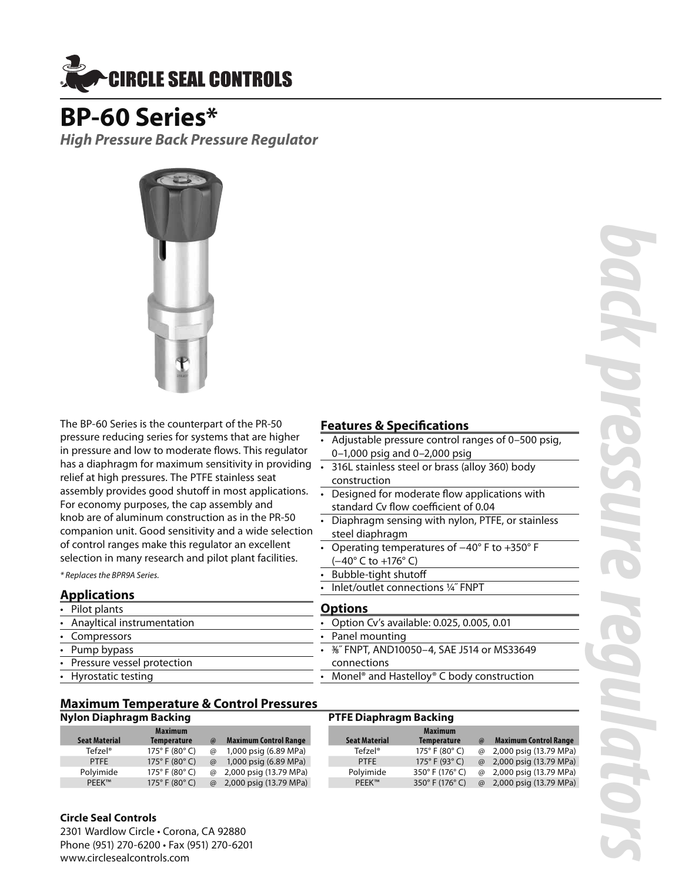

### **BP-60 Series\***

*High Pressure Back Pressure Regulator*



The BP-60 Series is the counterpart of the PR-50 pressure reducing series for systems that are higher in pressure and low to moderate flows. This regulator has a diaphragm for maximum sensitivity in providing  $\overline{\phantom{a}}$ relief at high pressures. The PTFE stainless seat assembly provides good shutoff in most applications. For economy purposes, the cap assembly and knob are of aluminum construction as in the PR-50 companion unit. Good sensitivity and a wide selection of control ranges make this regulator an excellent selection in many research and pilot plant facilities.

\* Replaces the BPR9A Series.

### **Applications**

- Pilot plants • Anayltical instrumentation **Compressors** Pump bypass Pressure vessel protection
- Hyrostatic testing

### **Features & Specifications**

- Adjustable pressure control ranges of 0–500 psig, 0–1,000 psig and 0–2,000 psig
- 316L stainless steel or brass (alloy 360) body construction
- Designed for moderate flow applications with standard Cv flow coefficient of 0.04
- Diaphragm sensing with nylon, PTFE, or stainless steel diaphragm
- Operating temperatures of −40° F to +350° F (−40° C to +176° C)
- Bubble-tight shutoff
- Inlet/outlet connections 1/4" FNPT

### **Options**

- Option Cv's available: 0.025, 0.005, 0.01
- Panel mounting

**PTFE Diaphragm Backing**

- 3⁄8˝ FNPT, AND10050–4, SAE J514 or MS33649 connections
- Monel® and Hastelloy® C body construction
- **Maximum Temperature & Control Pressures**

### **Nylon Diaphragm Backing**

| <b>Seat Material</b> | <b>Maximum</b><br><b>Temperature</b> | $\omega$ | <b>Maximum Control Range</b> | <b>Seat Material</b> | <b>Maximum</b><br><b>Temperature</b> | $\omega$ | <b>Maximum Control Range</b> |
|----------------------|--------------------------------------|----------|------------------------------|----------------------|--------------------------------------|----------|------------------------------|
| Tefzel®              | 175 $^{\circ}$ F (80 $^{\circ}$ C)   | $\omega$ | 1,000 psig (6.89 MPa)        | Tefzel®              | 175 $^{\circ}$ F (80 $^{\circ}$ C)   | $\varpi$ | 2,000 psig (13.79 MPa)       |
| <b>PTFE</b>          | $175^{\circ}$ F (80 $^{\circ}$ C)    | $\omega$ | 1,000 psig (6.89 MPa)        | <b>PTFE</b>          | 175 $^{\circ}$ F (93 $^{\circ}$ C)   | $\omega$ | 2,000 psig (13.79 MPa)       |
| Polvimide            | 175° F (80° C)                       |          | @ 2,000 psig (13.79 MPa)     | Polvimide            | 350° F (176° C)                      | $\omega$ | 2,000 psig (13.79 MPa)       |
| PEEK™                | 175 $^{\circ}$ F (80 $^{\circ}$ C)   |          | @ 2,000 psig (13.79 MPa)     | PEEK™                | 350° F (176° C)                      | $\omega$ | 2,000 psig (13.79 MPa)       |

### **Circle Seal Controls**

2301 Wardlow Circle • Corona, CA 92880 Phone (951) 270-6200 • Fax (951) 270-6201 www.circlesealcontrols.com

# *back pressure regulators*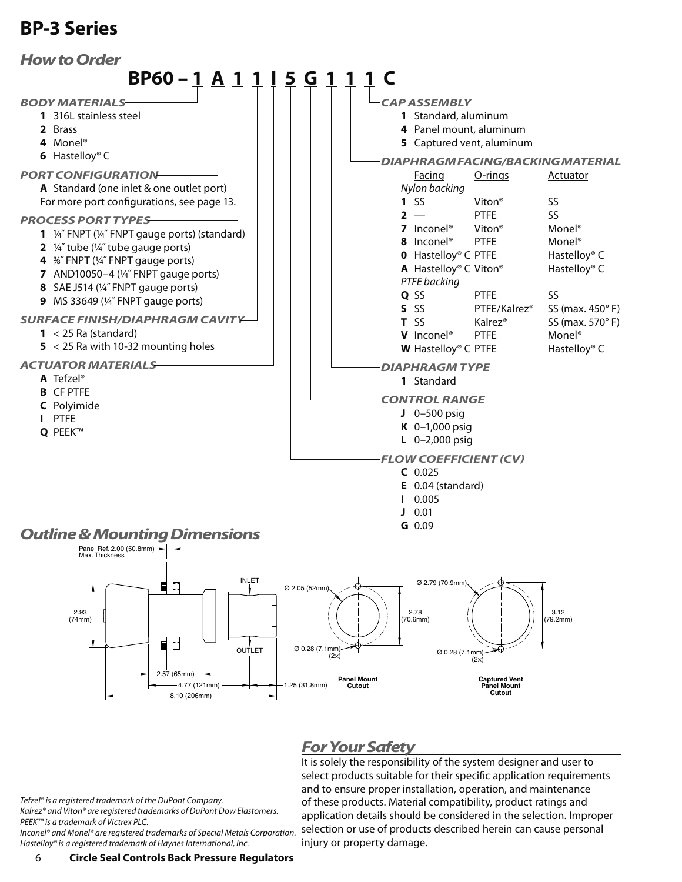



### *For Your Safety*

It is solely the responsibility of the system designer and user to select products suitable for their specific application requirements and to ensure proper installation, operation, and maintenance of these products. Material compatibility, product ratings and application details should be considered in the selection. Improper selection or use of products described herein can cause personal injury or property damage.

Tefzel® is a registered trademark of the DuPont Company. Kalrez® and Viton® are registered trademarks of DuPont Dow Elastomers.

PEEK™ is a trademark of Victrex PLC. Inconel® and Monel® are registered trademarks of Special Metals Corporation. Hastelloy® is a registered trademark of Haynes International, Inc.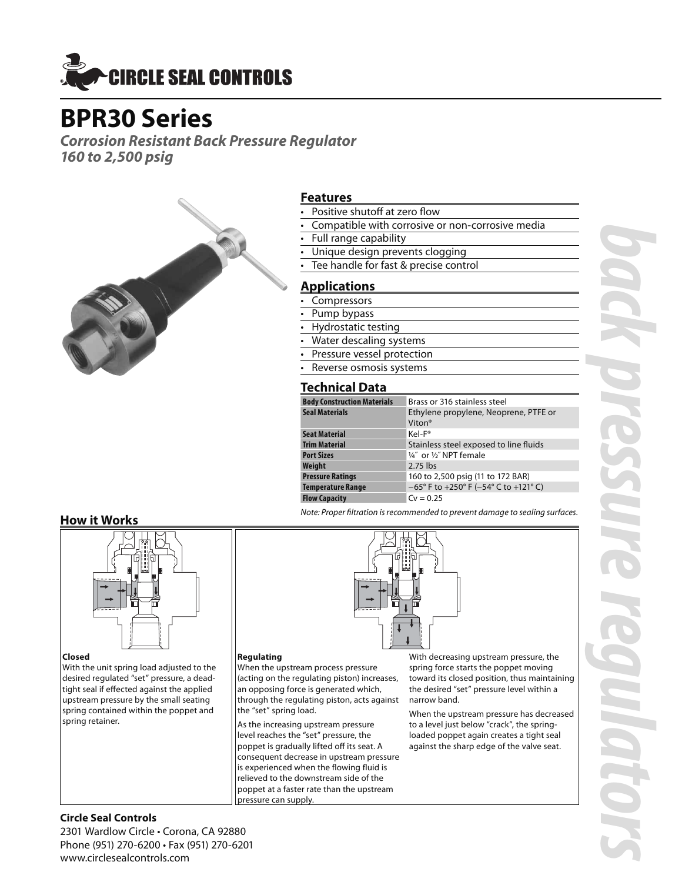

### **BPR30 Series**

*Corrosion Resistant Back Pressure Regulator 160 to 2,500 psig*



### **Features**

- Positive shutoff at zero flow
- Compatible with corrosive or non-corrosive media
- Full range capability
- Unique design prevents clogging
- Tee handle for fast & precise control

### **Applications**

- **Compressors**
- Pump bypass
- Hydrostatic testing
- Water descaling systems
- Pressure vessel protection
- Reverse osmosis systems

### **Technical Data**

| <b>Body Construction Materials</b> | Brass or 316 stainless steel                   |
|------------------------------------|------------------------------------------------|
| <b>Seal Materials</b>              | Ethylene propylene, Neoprene, PTFE or          |
|                                    | Viton <sup>®</sup>                             |
| <b>Seat Material</b>               | Kel-F <sup>®</sup>                             |
| <b>Trim Material</b>               | Stainless steel exposed to line fluids         |
| <b>Port Sizes</b>                  | 1/4" or 1/2" NPT female                        |
| Weight                             | $2.75$ lbs                                     |
| <b>Pressure Ratings</b>            | 160 to 2,500 psig (11 to 172 BAR)              |
| <b>Temperature Range</b>           | $-65^{\circ}$ F to +250° F (-54° C to +121° C) |
| <b>Flow Capacity</b>               | $Cv = 0.25$                                    |

### **How it Works**



### **Closed**

With the unit spring load adjusted to the desired regulated "set" pressure, a deadtight seal if effected against the applied upstream pressure by the small seating spring contained within the poppet and spring retainer.

**Regulating** When the upstream process pressure (acting on the regulating piston) increases, an opposing force is generated which, through the regulating piston, acts against the "set" spring load.

As the increasing upstream pressure level reaches the "set" pressure, the poppet is gradually lifted off its seat. A consequent decrease in upstream pressure is experienced when the flowing fluid is relieved to the downstream side of the poppet at a faster rate than the upstream pressure can supply.

With decreasing upstream pressure, the spring force starts the poppet moving toward its closed position, thus maintaining the desired "set" pressure level within a narrow band.

When the upstream pressure has decreased to a level just below "crack", the springloaded poppet again creates a tight seal against the sharp edge of the valve seat.

*back pressure regulators* **OTO** 

### **Circle Seal Controls**

2301 Wardlow Circle • Corona, CA 92880 Phone (951) 270-6200 • Fax (951) 270-6201 www.circlesealcontrols.com

Note: Proper filtration is recommended to prevent damage to sealing surfaces.

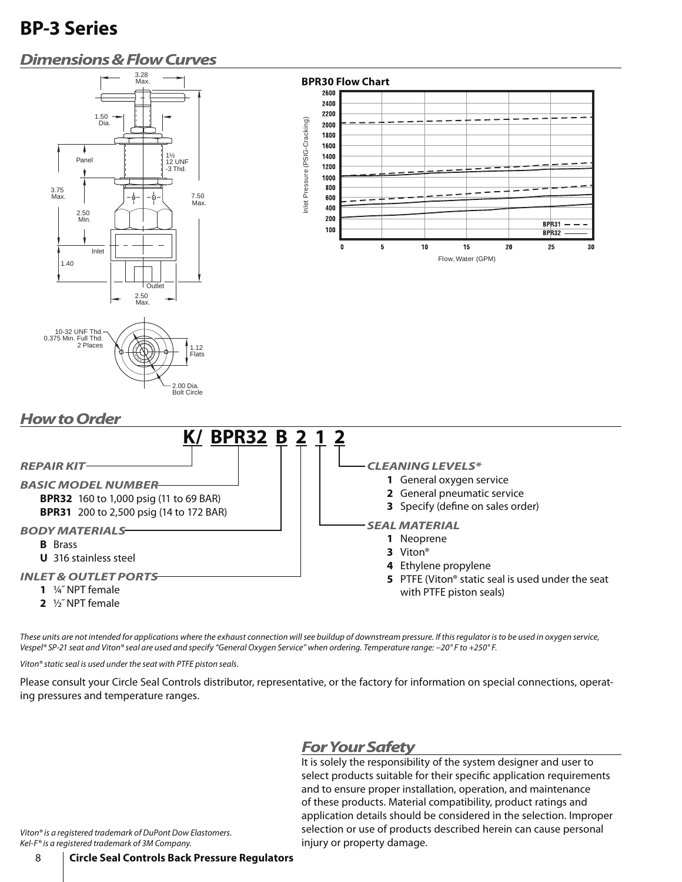### *Dimensions & Flow Curves*



2.00 Dia. Bolt Circle



### *How to Order* **K/ BPR32 B 2 1 2** *REPAIR KIT BASIC MODEL NUMBER* **BPR32** 160 to 1,000 psig (11 to 69 BAR) **BPR31** 200 to 2,500 psig (14 to 172 BAR) *BODY MATERIALS* **B** Brass **U** 316 stainless steel *INLET & OUTLET PORTS* **1** ¼˝ NPT female **2** ½˝ NPT female *CLEANING LEVELS\** **1** General oxygen service **2** General pneumatic service **3** Specify (define on sales order) *SEAL MATERIAL* **1** Neoprene **3** Viton® **4** Ethylene propylene **5** PTFE (Viton® static seal is used under the seat with PTFE piston seals)

These units are not intended for applications where the exhaust connection will see buildup of downstream pressure. If this regulator is to be used in oxygen service, Vespel® SP-21 seat and Viton® seal are used and specify "General Oxygen Service" when ordering. Temperature range: −20° F to +250° F.

Viton® static seal is used under the seat with PTFE piston seals.

Please consult your Circle Seal Controls distributor, representative, or the factory for information on special connections, operating pressures and temperature ranges.

### *For Your Safety*

It is solely the responsibility of the system designer and user to select products suitable for their specific application requirements and to ensure proper installation, operation, and maintenance of these products. Material compatibility, product ratings and application details should be considered in the selection. Improper selection or use of products described herein can cause personal injury or property damage.

Viton® is a registered trademark of DuPont Dow Elastomers. Kel-F® is a registered trademark of 3M Company.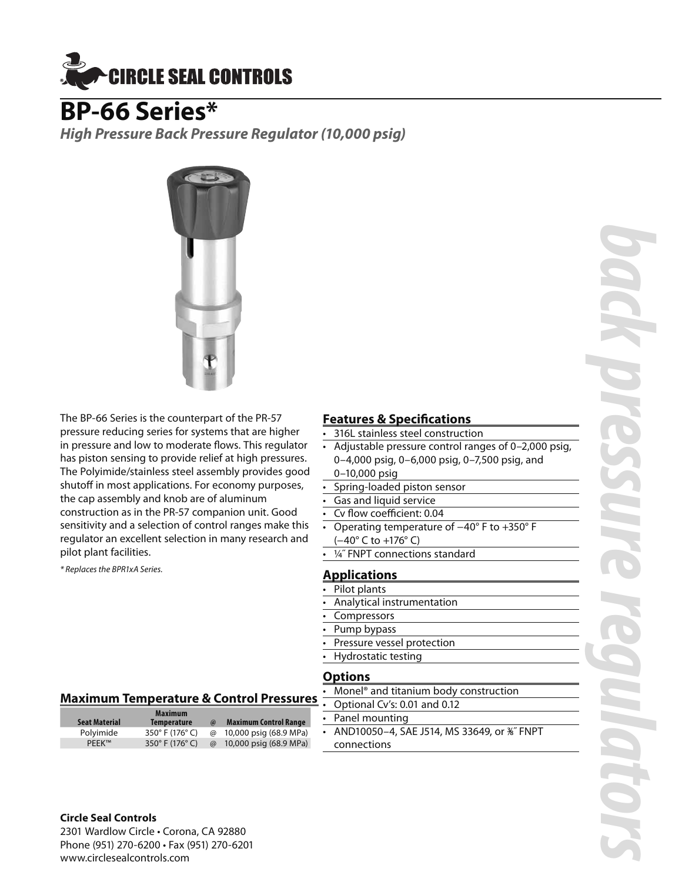

### **BP-66 Series\***

*High Pressure Back Pressure Regulator (10,000 psig)*



The BP-66 Series is the counterpart of the PR-57 pressure reducing series for systems that are higher in pressure and low to moderate flows. This regulator has piston sensing to provide relief at high pressures. The Polyimide/stainless steel assembly provides good shutoff in most applications. For economy purposes, the cap assembly and knob are of aluminum construction as in the PR-57 companion unit. Good sensitivity and a selection of control ranges make this regulator an excellent selection in many research and pilot plant facilities.

\* Replaces the BPR1xA Series.

### **Features & Specifications**

- 316L stainless steel construction
- Adjustable pressure control ranges of 0–2,000 psig, 0–4,000 psig, 0–6,000 psig, 0–7,500 psig, and
- 0–10,000 psig
- Spring-loaded piston sensor
- Gas and liquid service
- Cv flow coefficient: 0.04
- Operating temperature of −40° F to +350° F (−40° C to +176° C)
- 1/4" FNPT connections standard

### **Applications**

- Pilot plants
- Analytical instrumentation
- **Compressors**
- Pump bypass
- Pressure vessel protection
- Hydrostatic testing

### **Options**

• Monel® and titanium body construction

- Optional Cv's: 0.01 and 0.12
- Panel mounting
- AND10050–4, SAE J514, MS 33649, or 3⁄8˝ FNPT connections

### **Maximum Temperature & Control Pressures**

|                      | <b>Maximum</b>     |          |                              |
|----------------------|--------------------|----------|------------------------------|
| <b>Seat Material</b> | <b>Temperature</b> | $\omega$ | <b>Maximum Control Range</b> |
| Polyimide            | 350° F (176° C)    | $\omega$ | 10,000 psig (68.9 MPa)       |
| <b>PEEK™</b>         | 350° F (176° C)    | $\omega$ | 10,000 psig (68.9 MPa)       |

**Circle Seal Controls** 2301 Wardlow Circle • Corona, CA 92880 Phone (951) 270-6200 • Fax (951) 270-6201

www.circlesealcontrols.com

### *back pressure regulators* E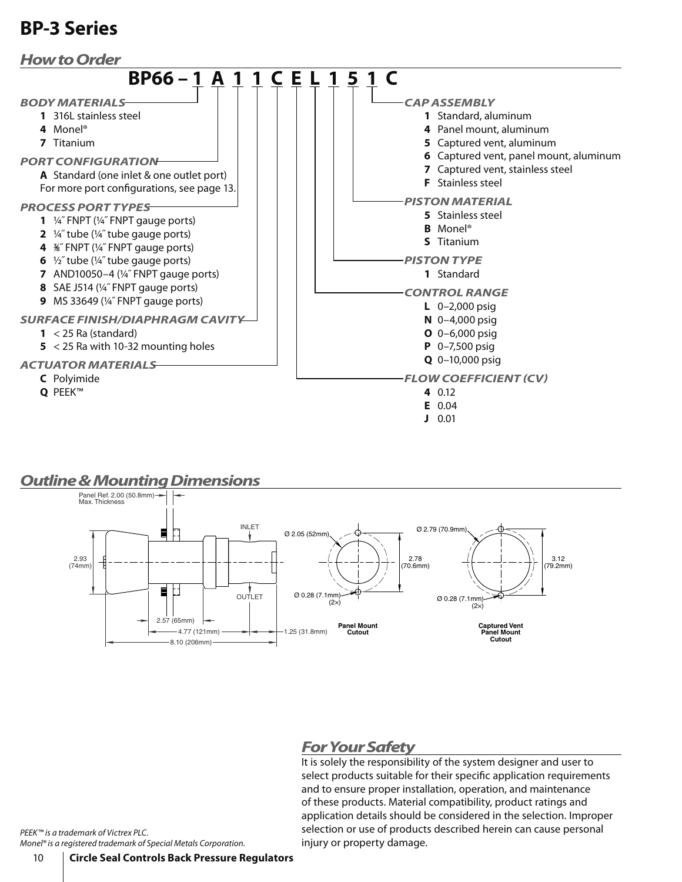

### *Outline & Mounting Dimensions*



### *For Your Safety*

It is solely the responsibility of the system designer and user to select products suitable for their specific application requirements and to ensure proper installation, operation, and maintenance of these products. Material compatibility, product ratings and application details should be considered in the selection. Improper selection or use of products described herein can cause personal injury or property damage.

PEEK™ is a trademark of Victrex PLC. Monel® is a registered trademark of Special Metals Corporation.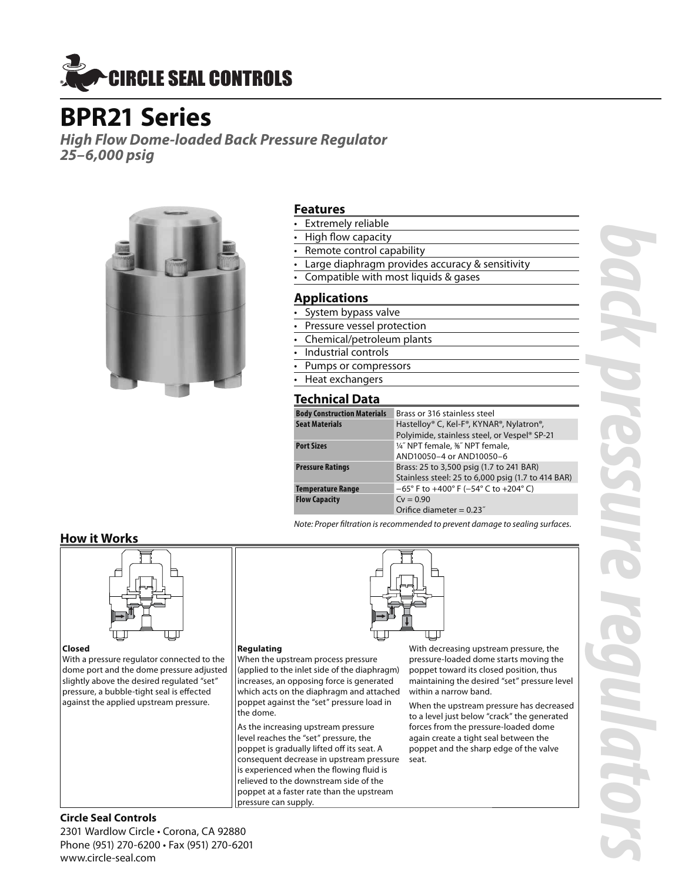

### **BPR21 Series**

*High Flow Dome-loaded Back Pressure Regulator 25–6,000 psig*



### **Features**

- **Extremely reliable**
- High flow capacity
- Remote control capability
- Large diaphragm provides accuracy & sensitivity
- Compatible with most liquids & gases

### **Applications**

- System bypass valve
- Pressure vessel protection
- Chemical/petroleum plants
- Industrial controls
- Pumps or compressors
- Heat exchangers

### **Technical Data**

| Brass or 316 stainless steel                                               |
|----------------------------------------------------------------------------|
| Hastelloy® C, Kel-F®, KYNAR®, Nylatron®,                                   |
| Polyimide, stainless steel, or Vespel® SP-21                               |
| 1/4" NPT female, 36" NPT female,                                           |
| AND10050-4 or AND10050-6                                                   |
| Brass: 25 to 3,500 psig (1.7 to 241 BAR)                                   |
| Stainless steel: 25 to 6,000 psig (1.7 to 414 BAR)                         |
| $-65^{\circ}$ F to $+400^{\circ}$ F ( $-54^{\circ}$ C to $+204^{\circ}$ C) |
| $Cv = 0.90$                                                                |
| Orifice diameter = $0.23$ "                                                |
|                                                                            |

Note: Proper filtration is recommended to prevent damage to sealing surfaces.

### **How it Works**



### **Closed**

With a pressure regulator connected to the dome port and the dome pressure adjusted slightly above the desired regulated "set" pressure, a bubble-tight seal is effected against the applied upstream pressure.

### **Regulating**

When the upstream process pressure (applied to the inlet side of the diaphragm) increases, an opposing force is generated which acts on the diaphragm and attached poppet against the "set" pressure load in the dome.

As the increasing upstream pressure level reaches the "set" pressure, the poppet is gradually lifted off its seat. A consequent decrease in upstream pressure is experienced when the flowing fluid is relieved to the downstream side of the poppet at a faster rate than the upstream pressure can supply.

With decreasing upstream pressure, the pressure-loaded dome starts moving the poppet toward its closed position, thus maintaining the desired "set" pressure level within a narrow band.

When the upstream pressure has decreased to a level just below "crack" the generated forces from the pressure-loaded dome again create a tight seal between the poppet and the sharp edge of the valve seat.

### **Circle Seal Controls**

2301 Wardlow Circle • Corona, CA 92880 Phone (951) 270-6200 • Fax (951) 270-6201 www.circle-seal.com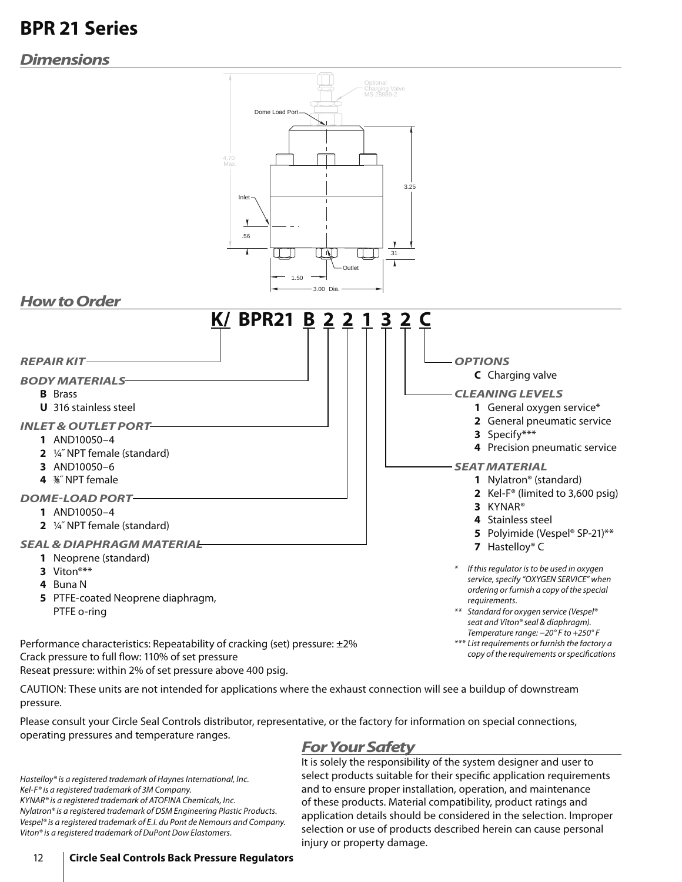### **BPR 21 Series**

### *Dimensions*



Reseat pressure: within 2% of set pressure above 400 psig.

CAUTION: These units are not intended for applications where the exhaust connection will see a buildup of downstream pressure.

Please consult your Circle Seal Controls distributor, representative, or the factory for information on special connections, operating pressures and temperature ranges.

### *For Your Safety*

Hastelloy® is a registered trademark of Haynes International, Inc. Kel-F® is a registered trademark of 3M Company. KYNAR® is a registered trademark of ATOFINA Chemicals, Inc. Nylatron® is a registered trademark of DSM Engineering Plastic Products. Vespel® is a registered trademark of E.I. du Pont de Nemours and Company. Viton® is a registered trademark of DuPont Dow Elastomers.

It is solely the responsibility of the system designer and user to select products suitable for their specific application requirements and to ensure proper installation, operation, and maintenance of these products. Material compatibility, product ratings and application details should be considered in the selection. Improper selection or use of products described herein can cause personal injury or property damage.